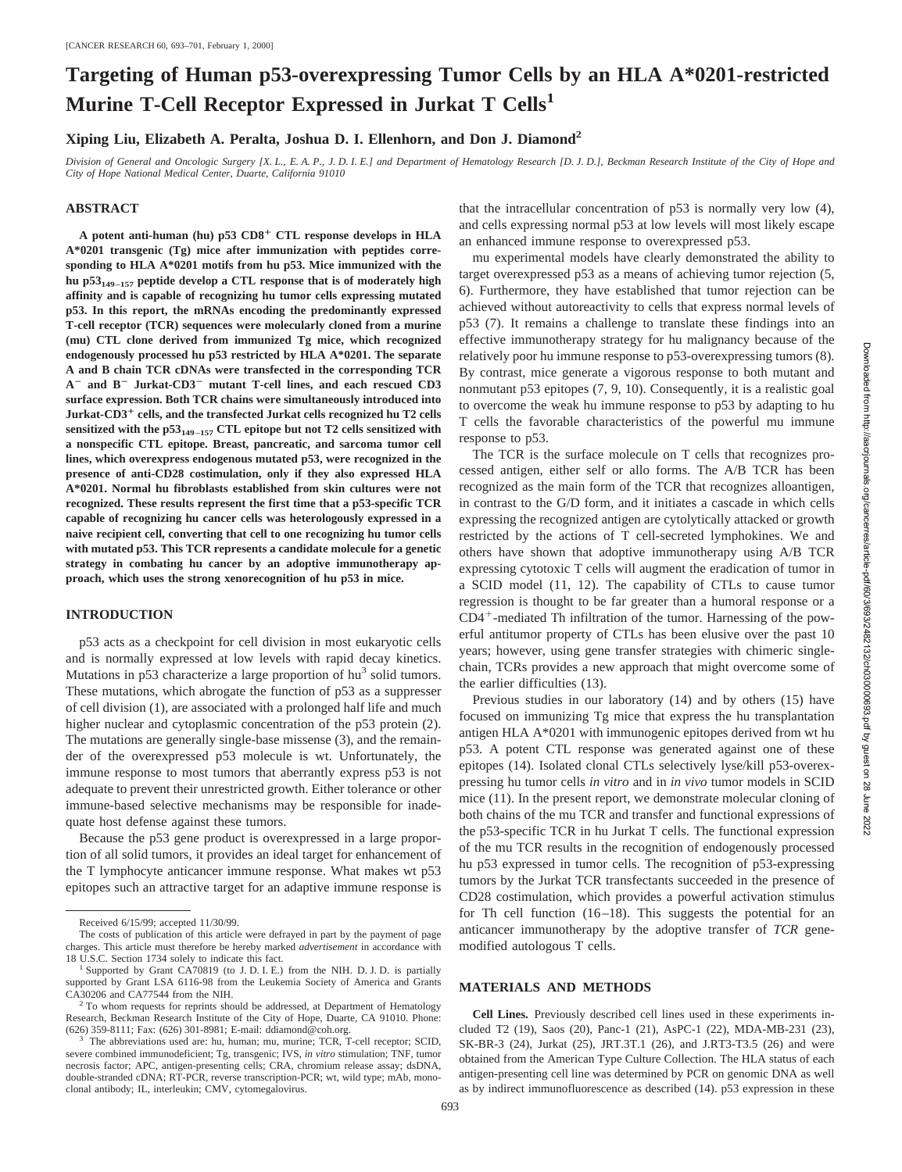# **Targeting of Human p53-overexpressing Tumor Cells by an HLA A\*0201-restricted Murine T-Cell Receptor Expressed in Jurkat T Cells<sup>1</sup>**

**Xiping Liu, Elizabeth A. Peralta, Joshua D. I. Ellenhorn, and Don J. Diamond2**

*Division of General and Oncologic Surgery [X. L., E. A. P., J. D. I. E.] and Department of Hematology Research [D. J. D.], Beckman Research Institute of the City of Hope and City of Hope National Medical Center, Duarte, California 91010*

# **ABSTRACT**

**A potent anti-human (hu) p53 CD8**<sup>1</sup> **CTL response develops in HLA A\*0201 transgenic (Tg) mice after immunization with peptides corresponding to HLA A\*0201 motifs from hu p53. Mice immunized with the hu p53149–157 peptide develop a CTL response that is of moderately high affinity and is capable of recognizing hu tumor cells expressing mutated p53. In this report, the mRNAs encoding the predominantly expressed T-cell receptor (TCR) sequences were molecularly cloned from a murine (mu) CTL clone derived from immunized Tg mice, which recognized endogenously processed hu p53 restricted by HLA A\*0201. The separate A and B chain TCR cDNAs were transfected in the corresponding TCR A**<sup>2</sup> **and B**<sup>2</sup> **Jurkat-CD3**<sup>2</sup> **mutant T-cell lines, and each rescued CD3 surface expression. Both TCR chains were simultaneously introduced into Jurkat-CD3**<sup>1</sup> **cells, and the transfected Jurkat cells recognized hu T2 cells** sensitized with the  $p53_{149-157}$  CTL epitope but not T2 cells sensitized with **a nonspecific CTL epitope. Breast, pancreatic, and sarcoma tumor cell lines, which overexpress endogenous mutated p53, were recognized in the presence of anti-CD28 costimulation, only if they also expressed HLA A\*0201. Normal hu fibroblasts established from skin cultures were not recognized. These results represent the first time that a p53-specific TCR capable of recognizing hu cancer cells was heterologously expressed in a naive recipient cell, converting that cell to one recognizing hu tumor cells with mutated p53. This TCR represents a candidate molecule for a genetic strategy in combating hu cancer by an adoptive immunotherapy approach, which uses the strong xenorecognition of hu p53 in mice.**

### **INTRODUCTION**

p53 acts as a checkpoint for cell division in most eukaryotic cells and is normally expressed at low levels with rapid decay kinetics. Mutations in p53 characterize a large proportion of hu<sup>3</sup> solid tumors. These mutations, which abrogate the function of p53 as a suppresser of cell division (1), are associated with a prolonged half life and much higher nuclear and cytoplasmic concentration of the p53 protein (2). The mutations are generally single-base missense (3), and the remainder of the overexpressed p53 molecule is wt. Unfortunately, the immune response to most tumors that aberrantly express p53 is not adequate to prevent their unrestricted growth. Either tolerance or other immune-based selective mechanisms may be responsible for inadequate host defense against these tumors.

Because the p53 gene product is overexpressed in a large proportion of all solid tumors, it provides an ideal target for enhancement of the T lymphocyte anticancer immune response. What makes wt p53 epitopes such an attractive target for an adaptive immune response is

693

that the intracellular concentration of p53 is normally very low (4), and cells expressing normal p53 at low levels will most likely escape an enhanced immune response to overexpressed p53.

mu experimental models have clearly demonstrated the ability to target overexpressed p53 as a means of achieving tumor rejection (5, 6). Furthermore, they have established that tumor rejection can be achieved without autoreactivity to cells that express normal levels of p53 (7). It remains a challenge to translate these findings into an effective immunotherapy strategy for hu malignancy because of the relatively poor hu immune response to p53-overexpressing tumors (8). By contrast, mice generate a vigorous response to both mutant and nonmutant p53 epitopes (7, 9, 10). Consequently, it is a realistic goal to overcome the weak hu immune response to p53 by adapting to hu T cells the favorable characteristics of the powerful mu immune response to p53.

The TCR is the surface molecule on T cells that recognizes processed antigen, either self or allo forms. The A/B TCR has been recognized as the main form of the TCR that recognizes alloantigen, in contrast to the G/D form, and it initiates a cascade in which cells expressing the recognized antigen are cytolytically attacked or growth restricted by the actions of T cell-secreted lymphokines. We and others have shown that adoptive immunotherapy using A/B TCR expressing cytotoxic T cells will augment the eradication of tumor in a SCID model (11, 12). The capability of CTLs to cause tumor regression is thought to be far greater than a humoral response or a  $CD4^+$ -mediated Th infiltration of the tumor. Harnessing of the powerful antitumor property of CTLs has been elusive over the past 10 years; however, using gene transfer strategies with chimeric singlechain, TCRs provides a new approach that might overcome some of the earlier difficulties (13).

Previous studies in our laboratory (14) and by others (15) have focused on immunizing Tg mice that express the hu transplantation antigen HLA A\*0201 with immunogenic epitopes derived from wt hu p53. A potent CTL response was generated against one of these epitopes (14). Isolated clonal CTLs selectively lyse/kill p53-overexpressing hu tumor cells *in vitro* and in *in vivo* tumor models in SCID mice (11). In the present report, we demonstrate molecular cloning of both chains of the mu TCR and transfer and functional expressions of the p53-specific TCR in hu Jurkat T cells. The functional expression of the mu TCR results in the recognition of endogenously processed hu p53 expressed in tumor cells. The recognition of p53-expressing tumors by the Jurkat TCR transfectants succeeded in the presence of CD28 costimulation, which provides a powerful activation stimulus for Th cell function (16–18). This suggests the potential for an anticancer immunotherapy by the adoptive transfer of *TCR* genemodified autologous T cells.

# **MATERIALS AND METHODS**

**Cell Lines.** Previously described cell lines used in these experiments included T2 (19), Saos (20), Panc-1 (21), AsPC-1 (22), MDA-MB-231 (23), SK-BR-3 (24), Jurkat (25), JRT.3T.1 (26), and J.RT3-T3.5 (26) and were obtained from the American Type Culture Collection. The HLA status of each antigen-presenting cell line was determined by PCR on genomic DNA as well as by indirect immunofluorescence as described (14). p53 expression in these

Received 6/15/99; accepted 11/30/99.

The costs of publication of this article were defrayed in part by the payment of page charges. This article must therefore be hereby marked *advertisement* in accordance with

Supported by Grant CA70819 (to J. D. I. E.) from the NIH. D. J. D. is partially supported by Grant LSA 6116-98 from the Leukemia Society of America and Grants CA30206 and CA77544 from the NIH.<br><sup>2</sup> To whom requests for reprints should be addressed, at Department of Hematology

Research, Beckman Research Institute of the City of Hope, Duarte, CA 91010. Phone: (626) 359-8111; Fax: (626) 301-8981; E-mail: ddiamond@coh.org.

The abbreviations used are: hu, human; mu, murine; TCR, T-cell receptor; SCID, severe combined immunodeficient; Tg, transgenic; IVS, *in vitro* stimulation; TNF, tumor necrosis factor; APC, antigen-presenting cells; CRA, chromium release assay; dsDNA, double-stranded cDNA; RT-PCR, reverse transcription-PCR; wt, wild type; mAb, monoclonal antibody; IL, interleukin; CMV, cytomegalovirus.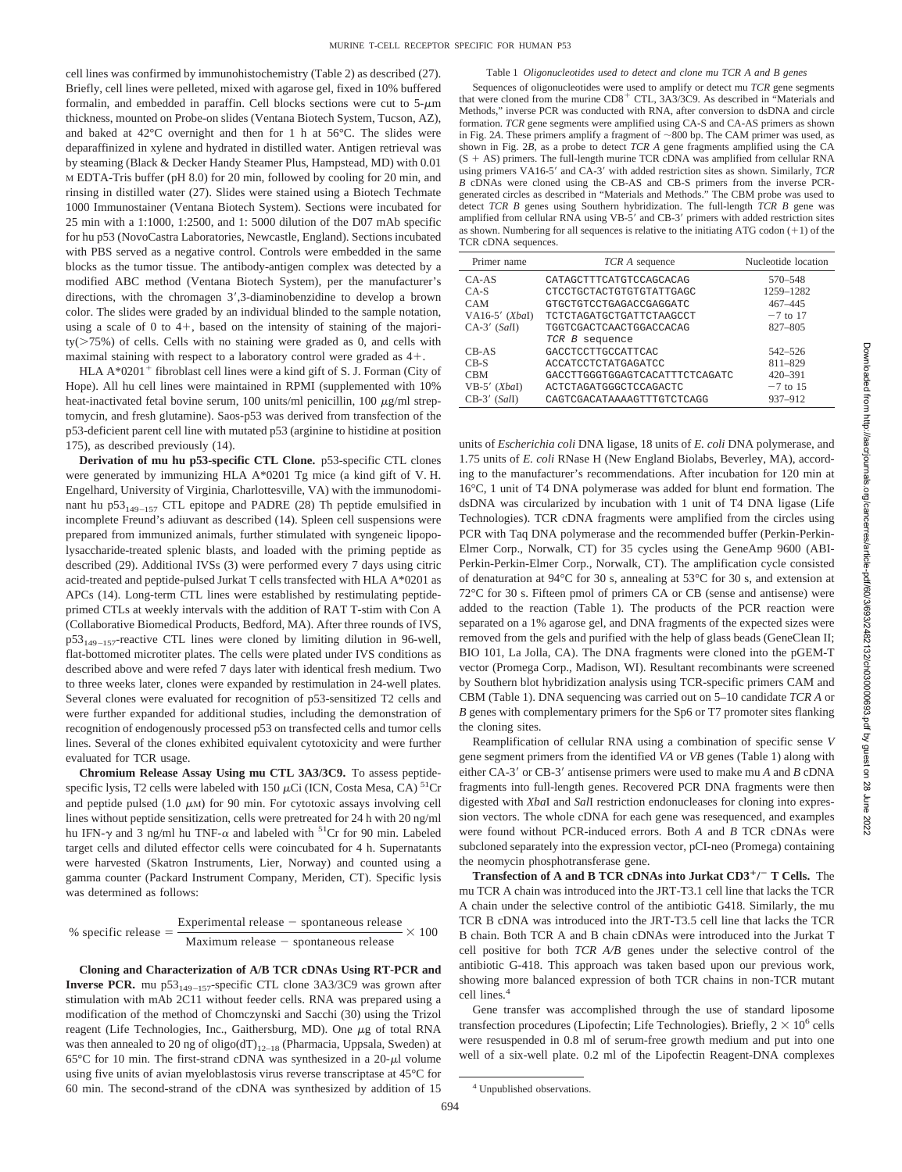#### Table 1 *Oligonucleotides used to detect and clone mu TCR A and B genes*

cell lines was confirmed by immunohistochemistry (Table 2) as described (27). Briefly, cell lines were pelleted, mixed with agarose gel, fixed in 10% buffered formalin, and embedded in paraffin. Cell blocks sections were cut to  $5-\mu m$ thickness, mounted on Probe-on slides (Ventana Biotech System, Tucson, AZ), and baked at 42°C overnight and then for 1 h at 56°C. The slides were deparaffinized in xylene and hydrated in distilled water. Antigen retrieval was by steaming (Black & Decker Handy Steamer Plus, Hampstead, MD) with 0.01 M EDTA-Tris buffer (pH 8.0) for 20 min, followed by cooling for 20 min, and rinsing in distilled water (27). Slides were stained using a Biotech Techmate 1000 Immunostainer (Ventana Biotech System). Sections were incubated for 25 min with a 1:1000, 1:2500, and 1: 5000 dilution of the D07 mAb specific for hu p53 (NovoCastra Laboratories, Newcastle, England). Sections incubated with PBS served as a negative control. Controls were embedded in the same blocks as the tumor tissue. The antibody-antigen complex was detected by a modified ABC method (Ventana Biotech System), per the manufacturer's directions, with the chromagen  $3'$ , 3-diaminobenzidine to develop a brown color. The slides were graded by an individual blinded to the sample notation, using a scale of 0 to  $4+$ , based on the intensity of staining of the majori $ty(>=75%)$  of cells. Cells with no staining were graded as 0, and cells with maximal staining with respect to a laboratory control were graded as  $4+$ .

HLA  $A*0201^+$  fibroblast cell lines were a kind gift of S. J. Forman (City of Hope). All hu cell lines were maintained in RPMI (supplemented with 10% heat-inactivated fetal bovine serum, 100 units/ml penicillin, 100  $\mu$ g/ml streptomycin, and fresh glutamine). Saos-p53 was derived from transfection of the p53-deficient parent cell line with mutated p53 (arginine to histidine at position 175), as described previously (14).

**Derivation of mu hu p53-specific CTL Clone.** p53-specific CTL clones were generated by immunizing HLA A\*0201 Tg mice (a kind gift of V. H. Engelhard, University of Virginia, Charlottesville, VA) with the immunodominant hu p53<sub>149–157</sub> CTL epitope and PADRE (28) Th peptide emulsified in incomplete Freund's adiuvant as described (14). Spleen cell suspensions were prepared from immunized animals, further stimulated with syngeneic lipopolysaccharide-treated splenic blasts, and loaded with the priming peptide as described (29). Additional IVSs (3) were performed every 7 days using citric acid-treated and peptide-pulsed Jurkat T cells transfected with HLA A\*0201 as APCs (14). Long-term CTL lines were established by restimulating peptideprimed CTLs at weekly intervals with the addition of RAT T-stim with Con A (Collaborative Biomedical Products, Bedford, MA). After three rounds of IVS,  $p53_{149-157}$ -reactive CTL lines were cloned by limiting dilution in 96-well, flat-bottomed microtiter plates. The cells were plated under IVS conditions as described above and were refed 7 days later with identical fresh medium. Two to three weeks later, clones were expanded by restimulation in 24-well plates. Several clones were evaluated for recognition of p53-sensitized T2 cells and were further expanded for additional studies, including the demonstration of recognition of endogenously processed p53 on transfected cells and tumor cells lines. Several of the clones exhibited equivalent cytotoxicity and were further evaluated for TCR usage.

**Chromium Release Assay Using mu CTL 3A3/3C9.** To assess peptidespecific lysis, T2 cells were labeled with 150  $\mu$ Ci (ICN, Costa Mesa, CA)<sup>51</sup>Cr and peptide pulsed  $(1.0 \mu M)$  for 90 min. For cytotoxic assays involving cell lines without peptide sensitization, cells were pretreated for 24 h with 20 ng/ml hu IFN- $\gamma$  and 3 ng/ml hu TNF- $\alpha$  and labeled with <sup>51</sup>Cr for 90 min. Labeled target cells and diluted effector cells were coincubated for 4 h. Supernatants were harvested (Skatron Instruments, Lier, Norway) and counted using a gamma counter (Packard Instrument Company, Meriden, CT). Specific lysis was determined as follows:

% specific release = Experimental release - spontaneous release 
$$
\times
$$
 100  
Maximum release - spontaneous release

**Cloning and Characterization of A/B TCR cDNAs Using RT-PCR and Inverse PCR.** mu  $p53_{149-157}$ -specific CTL clone 3A3/3C9 was grown after stimulation with mAb 2C11 without feeder cells. RNA was prepared using a modification of the method of Chomczynski and Sacchi (30) using the Trizol reagent (Life Technologies, Inc., Gaithersburg, MD). One  $\mu$ g of total RNA was then annealed to 20 ng of oligo( $dT$ )<sub>12–18</sub> (Pharmacia, Uppsala, Sweden) at 65 $\degree$ C for 10 min. The first-strand cDNA was synthesized in a 20- $\mu$ l volume using five units of avian myeloblastosis virus reverse transcriptase at 45°C for 60 min. The second-strand of the cDNA was synthesized by addition of 15

Sequences of oligonucleotides were used to amplify or detect mu *TCR* gene segments that were cloned from the murine  $CDS<sup>+</sup> CTL$ ,  $3A3/3C9$ . As described in "Materials and Methods," inverse PCR was conducted with RNA, after conversion to dsDNA and circle formation. *TCR* gene segments were amplified using CA-S and CA-AS primers as shown in Fig. 2A. These primers amplify a fragment of  $\sim$ 800 bp. The CAM primer was used, as shown in Fig. 2*B*, as a probe to detect *TCR A* gene fragments amplified using the CA  $(S + AS)$  primers. The full-length murine TCR cDNA was amplified from cellular RNA using primers VA16-5' and CA-3' with added restriction sites as shown. Similarly, *TCR B* cDNAs were cloned using the CB-AS and CB-S primers from the inverse PCRgenerated circles as described in "Materials and Methods." The CBM probe was used to detect *TCR B* genes using Southern hybridization. The full-length *TCR B* gene was amplified from cellular RNA using VB-5' and CB-3' primers with added restriction sites as shown. Numbering for all sequences is relative to the initiating ATG codon  $(+1)$  of the TCR cDNA sequences.

| Primer name      | TCR A sequence                 | Nucleotide location |  |
|------------------|--------------------------------|---------------------|--|
| $CA-AS$          | CATAGCTTTCATGTCCAGCACAG        | 570-548             |  |
| $CA-S$           | CTCCTGCTACTGTGTGTATTGAGC       | 1259-1282           |  |
| <b>CAM</b>       | GTGCTGTCCTGAGACCGAGGATC        | $467 - 445$         |  |
| VA16-5' $(XbaI)$ | TCTCTAGATGCTGATTCTAAGCCT       | $-7$ to 17          |  |
| $CA-3'$ (SalI)   | TGGTCGACTCAACTGGACCACAG        | 827-805             |  |
|                  | TCR B sequence                 |                     |  |
| $CB-AS$          | GACCTCCTTGCCATTCAC             | $542 - 526$         |  |
| $CB-S$           | ACCATCCTCTATGAGATCC            | $811 - 829$         |  |
| <b>CBM</b>       | GACCTTGGGTGGAGTCACATTTCTCAGATC | $420 - 391$         |  |
| $VB-5' (XbaI)$   | ACTCTAGATGGGCTCCAGACTC         | $-7$ to 15          |  |
| $CB-3'$ (SalI)   | CAGTCGACATAAAAGTTTGTCTCAGG     | 937-912             |  |

units of *Escherichia coli* DNA ligase, 18 units of *E. coli* DNA polymerase, and 1.75 units of *E. coli* RNase H (New England Biolabs, Beverley, MA), according to the manufacturer's recommendations. After incubation for 120 min at 16°C, 1 unit of T4 DNA polymerase was added for blunt end formation. The dsDNA was circularized by incubation with 1 unit of T4 DNA ligase (Life Technologies). TCR cDNA fragments were amplified from the circles using PCR with Taq DNA polymerase and the recommended buffer (Perkin-Perkin-Elmer Corp., Norwalk, CT) for 35 cycles using the GeneAmp 9600 (ABI-Perkin-Perkin-Elmer Corp., Norwalk, CT). The amplification cycle consisted of denaturation at 94°C for 30 s, annealing at 53°C for 30 s, and extension at 72°C for 30 s. Fifteen pmol of primers CA or CB (sense and antisense) were added to the reaction (Table 1). The products of the PCR reaction were separated on a 1% agarose gel, and DNA fragments of the expected sizes were removed from the gels and purified with the help of glass beads (GeneClean II; BIO 101, La Jolla, CA). The DNA fragments were cloned into the pGEM-T vector (Promega Corp., Madison, WI). Resultant recombinants were screened by Southern blot hybridization analysis using TCR-specific primers CAM and CBM (Table 1). DNA sequencing was carried out on 5–10 candidate *TCR A* or *B* genes with complementary primers for the Sp6 or T7 promoter sites flanking the cloning sites.

Reamplification of cellular RNA using a combination of specific sense *V* gene segment primers from the identified *VA* or *VB* genes (Table 1) along with either CA-3' or CB-3' antisense primers were used to make mu *A* and *B* cDNA fragments into full-length genes. Recovered PCR DNA fragments were then digested with *Xba*I and *Sal*I restriction endonucleases for cloning into expression vectors. The whole cDNA for each gene was resequenced, and examples were found without PCR-induced errors. Both *A* and *B* TCR cDNAs were subcloned separately into the expression vector, pCI-neo (Promega) containing the neomycin phosphotransferase gene.

**Transfection of A and B TCR cDNAs into Jurkat CD3**1**/** <sup>2</sup> **T Cells.** The mu TCR A chain was introduced into the JRT-T3.1 cell line that lacks the TCR A chain under the selective control of the antibiotic G418. Similarly, the mu TCR B cDNA was introduced into the JRT-T3.5 cell line that lacks the TCR B chain. Both TCR A and B chain cDNAs were introduced into the Jurkat T cell positive for both *TCR A/B* genes under the selective control of the antibiotic G-418. This approach was taken based upon our previous work, showing more balanced expression of both TCR chains in non-TCR mutant cell lines.<sup>4</sup>

Gene transfer was accomplished through the use of standard liposome transfection procedures (Lipofectin; Life Technologies). Briefly,  $2 \times 10^6$  cells were resuspended in 0.8 ml of serum-free growth medium and put into one well of a six-well plate. 0.2 ml of the Lipofectin Reagent-DNA complexes

<sup>4</sup> Unpublished observations.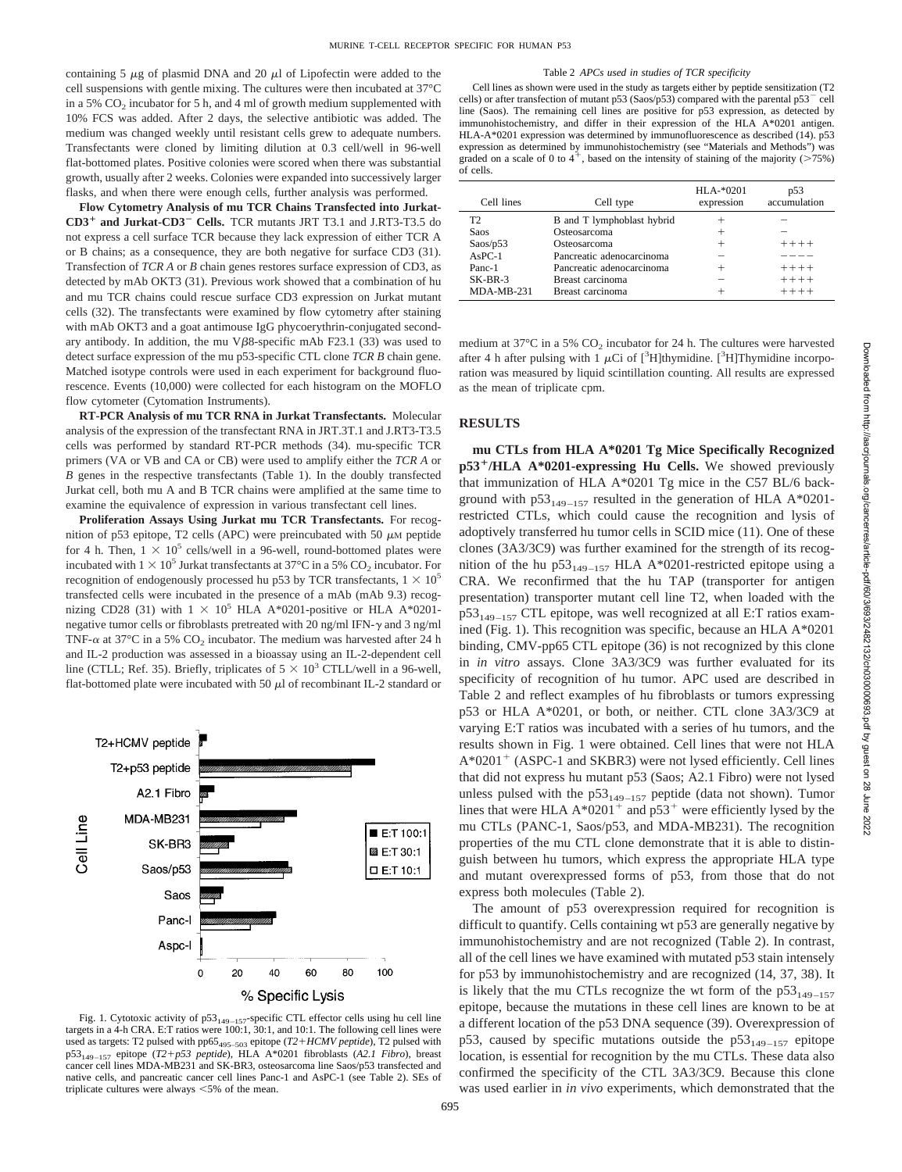containing 5  $\mu$ g of plasmid DNA and 20  $\mu$ l of Lipofectin were added to the cell suspensions with gentle mixing. The cultures were then incubated at 37°C in a 5%  $CO<sub>2</sub>$  incubator for 5 h, and 4 ml of growth medium supplemented with 10% FCS was added. After 2 days, the selective antibiotic was added. The medium was changed weekly until resistant cells grew to adequate numbers. Transfectants were cloned by limiting dilution at 0.3 cell/well in 96-well flat-bottomed plates. Positive colonies were scored when there was substantial growth, usually after 2 weeks. Colonies were expanded into successively larger flasks, and when there were enough cells, further analysis was performed.

**Flow Cytometry Analysis of mu TCR Chains Transfected into Jurkat-CD3**<sup>1</sup> **and Jurkat-CD3**<sup>2</sup> **Cells.** TCR mutants JRT T3.1 and J.RT3-T3.5 do not express a cell surface TCR because they lack expression of either TCR A or B chains; as a consequence, they are both negative for surface CD3 (31). Transfection of *TCR A* or *B* chain genes restores surface expression of CD3, as detected by mAb OKT3 (31). Previous work showed that a combination of hu and mu TCR chains could rescue surface CD3 expression on Jurkat mutant cells (32). The transfectants were examined by flow cytometry after staining with mAb OKT3 and a goat antimouse IgG phycoerythrin-conjugated secondary antibody. In addition, the mu V $\beta$ 8-specific mAb F23.1 (33) was used to detect surface expression of the mu p53-specific CTL clone *TCR B* chain gene. Matched isotype controls were used in each experiment for background fluorescence. Events (10,000) were collected for each histogram on the MOFLO flow cytometer (Cytomation Instruments).

**RT-PCR Analysis of mu TCR RNA in Jurkat Transfectants.** Molecular analysis of the expression of the transfectant RNA in JRT.3T.1 and J.RT3-T3.5 cells was performed by standard RT-PCR methods (34). mu-specific TCR primers (VA or VB and CA or CB) were used to amplify either the *TCR A* or *B* genes in the respective transfectants (Table 1). In the doubly transfected Jurkat cell, both mu A and B TCR chains were amplified at the same time to examine the equivalence of expression in various transfectant cell lines.

**Proliferation Assays Using Jurkat mu TCR Transfectants.** For recognition of p53 epitope, T2 cells (APC) were preincubated with 50  $\mu$ M peptide for 4 h. Then,  $1 \times 10^5$  cells/well in a 96-well, round-bottomed plates were incubated with  $1 \times 10^5$  Jurkat transfectants at 37°C in a 5% CO<sub>2</sub> incubator. For recognition of endogenously processed hu p53 by TCR transfectants,  $1 \times 10^5$ transfected cells were incubated in the presence of a mAb (mAb 9.3) recognizing CD28 (31) with  $1 \times 10^5$  HLA A\*0201-positive or HLA A\*0201negative tumor cells or fibroblasts pretreated with 20 ng/ml IFN- $\gamma$  and 3 ng/ml TNF- $\alpha$  at 37°C in a 5% CO<sub>2</sub> incubator. The medium was harvested after 24 h and IL-2 production was assessed in a bioassay using an IL-2-dependent cell line (CTLL; Ref. 35). Briefly, triplicates of  $5 \times 10^3$  CTLL/well in a 96-well, flat-bottomed plate were incubated with 50  $\mu$ l of recombinant IL-2 standard or



Fig. 1. Cytotoxic activity of  $p53_{149-157}$ -specific CTL effector cells using hu cell line targets in a 4-h CRA. E:T ratios were 100:1, 30:1, and 10:1. The following cell lines were used as targets: T2 pulsed with pp65<sub>495–503</sub> epitope (*T2+HCMV peptide*), T2 pulsed with p53149–157 epitope (*T2*1*p53 peptide*), HLA A\*0201 fibroblasts (*A2.1 Fibro*), breast cancer cell lines MDA-MB231 and SK-BR3, osteosarcoma line Saos/p53 transfected and native cells, and pancreatic cancer cell lines Panc-1 and AsPC-1 (see Table 2). SEs of triplicate cultures were always  $<$  5% of the mean.

Table 2 *APCs used in studies of TCR specificity* Cell lines as shown were used in the study as targets either by peptide sensitization (T2 cells) or after transfection of mutant p53 (Saos/p53) compared with the parental p53<sup>-</sup> cell line (Saos). The remaining cell lines are positive for p53 expression, as detected by immunohistochemistry, and differ in their expression of the HLA A\*0201 antigen. HLA-A\*0201 expression was determined by immunofluorescence as described (14). p53 expression as determined by immunohistochemistry (see "Materials and Methods") was graded on a scale of 0 to  $4^+$ , based on the intensity of staining of the majority ( $>75\%$ ) of cells.

| Cell lines   | Cell type                  | $HLA-*0201$<br>expression | p53<br>accumulation |
|--------------|----------------------------|---------------------------|---------------------|
| T2           | B and T lymphoblast hybrid |                           |                     |
| Saos         | Osteosarcoma               |                           |                     |
| Saos/p53     | Osteosarcoma               | $^{+}$                    | $+++++$             |
| $AsPC-1$     | Pancreatic adenocarcinoma  | -                         |                     |
| Panc-1       | Pancreatic adenocarcinoma  | $\pm$                     | $+++++$             |
| $SK-BR-3$    | Breast carcinoma           |                           | $+++++$             |
| $MDA-MB-231$ | Breast carcinoma           |                           | $+++++$             |

medium at 37 $\rm{^{\circ}C}$  in a 5%  $\rm{CO_{2}}$  incubator for 24 h. The cultures were harvested after 4 h after pulsing with 1  $\mu$ Ci of [<sup>3</sup>H]thymidine. [<sup>3</sup>H]Thymidine incorporation was measured by liquid scintillation counting. All results are expressed as the mean of triplicate cpm.

## **RESULTS**

**mu CTLs from HLA A\*0201 Tg Mice Specifically Recognized p53<sup>+</sup>/HLA A\*0201-expressing Hu Cells.** We showed previously that immunization of HLA A\*0201 Tg mice in the C57 BL/6 background with  $p53_{149-157}$  resulted in the generation of HLA A\*0201restricted CTLs, which could cause the recognition and lysis of adoptively transferred hu tumor cells in SCID mice (11). One of these clones (3A3/3C9) was further examined for the strength of its recognition of the hu p53<sub>149–157</sub> HLA A\*0201-restricted epitope using a CRA. We reconfirmed that the hu TAP (transporter for antigen presentation) transporter mutant cell line T2, when loaded with the  $p53_{149-157}$  CTL epitope, was well recognized at all E:T ratios examined (Fig. 1). This recognition was specific, because an HLA A\*0201 binding, CMV-pp65 CTL epitope (36) is not recognized by this clone in *in vitro* assays. Clone 3A3/3C9 was further evaluated for its specificity of recognition of hu tumor. APC used are described in Table 2 and reflect examples of hu fibroblasts or tumors expressing p53 or HLA A\*0201, or both, or neither. CTL clone 3A3/3C9 at varying E:T ratios was incubated with a series of hu tumors, and the results shown in Fig. 1 were obtained. Cell lines that were not HLA  $A*0201^+$  (ASPC-1 and SKBR3) were not lysed efficiently. Cell lines that did not express hu mutant p53 (Saos; A2.1 Fibro) were not lysed unless pulsed with the  $p53_{149-157}$  peptide (data not shown). Tumor lines that were HLA  $A*0201^+$  and  $p53^+$  were efficiently lysed by the mu CTLs (PANC-1, Saos/p53, and MDA-MB231). The recognition properties of the mu CTL clone demonstrate that it is able to distinguish between hu tumors, which express the appropriate HLA type and mutant overexpressed forms of p53, from those that do not express both molecules (Table 2).

The amount of p53 overexpression required for recognition is difficult to quantify. Cells containing wt p53 are generally negative by immunohistochemistry and are not recognized (Table 2). In contrast, all of the cell lines we have examined with mutated p53 stain intensely for p53 by immunohistochemistry and are recognized (14, 37, 38). It is likely that the mu CTLs recognize the wt form of the  $p53_{149-157}$ epitope, because the mutations in these cell lines are known to be at a different location of the p53 DNA sequence (39). Overexpression of p53, caused by specific mutations outside the  $p53_{149-157}$  epitope location, is essential for recognition by the mu CTLs. These data also confirmed the specificity of the CTL 3A3/3C9. Because this clone was used earlier in *in vivo* experiments, which demonstrated that the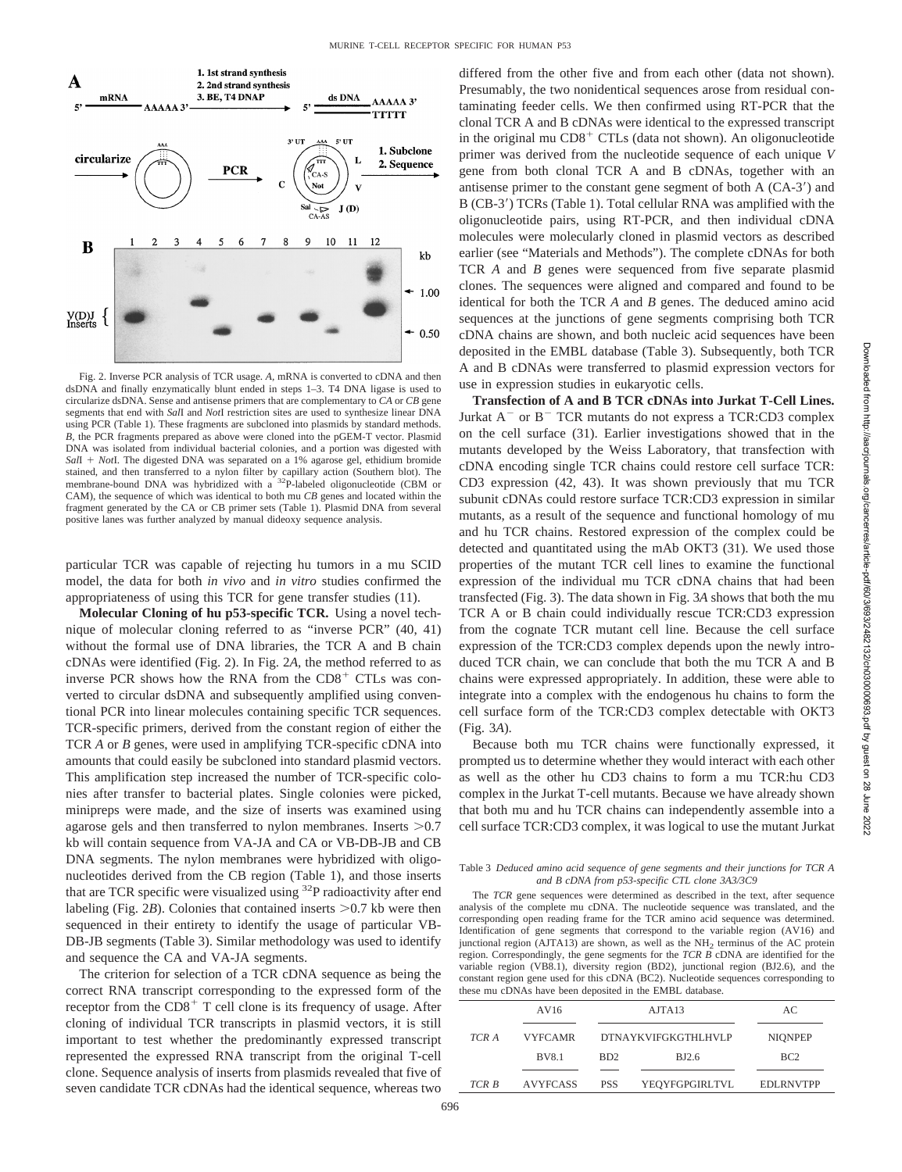

Fig. 2. Inverse PCR analysis of TCR usage. *A,* mRNA is converted to cDNA and then dsDNA and finally enzymatically blunt ended in steps 1–3. T4 DNA ligase is used to circularize dsDNA. Sense and antisense primers that are complementary to *CA* or *CB* gene segments that end with *Sal*I and *Not*I restriction sites are used to synthesize linear DNA using PCR (Table 1). These fragments are subcloned into plasmids by standard methods. *B,* the PCR fragments prepared as above were cloned into the pGEM-T vector. Plasmid DNA was isolated from individual bacterial colonies, and a portion was digested with *SalI* + *Not*I. The digested DNA was separated on a 1% agarose gel, ethidium bromide stained, and then transferred to a nylon filter by capillary action (Southern blot). The membrane-bound DNA was hybridized with a <sup>32</sup>P-labeled oligonucleotide (CBM or CAM), the sequence of which was identical to both mu *CB* genes and located within the fragment generated by the CA or CB primer sets (Table 1). Plasmid DNA from several positive lanes was further analyzed by manual dideoxy sequence analysis.

particular TCR was capable of rejecting hu tumors in a mu SCID model, the data for both *in vivo* and *in vitro* studies confirmed the appropriateness of using this TCR for gene transfer studies (11).

**Molecular Cloning of hu p53-specific TCR.** Using a novel technique of molecular cloning referred to as "inverse PCR" (40, 41) without the formal use of DNA libraries, the TCR A and B chain cDNAs were identified (Fig. 2). In Fig. 2*A,* the method referred to as inverse PCR shows how the RNA from the  $CD8<sup>+</sup>$  CTLs was converted to circular dsDNA and subsequently amplified using conventional PCR into linear molecules containing specific TCR sequences. TCR-specific primers, derived from the constant region of either the TCR *A* or *B* genes, were used in amplifying TCR-specific cDNA into amounts that could easily be subcloned into standard plasmid vectors. This amplification step increased the number of TCR-specific colonies after transfer to bacterial plates. Single colonies were picked, minipreps were made, and the size of inserts was examined using agarose gels and then transferred to nylon membranes. Inserts  $>0.7$ kb will contain sequence from VA-JA and CA or VB-DB-JB and CB DNA segments. The nylon membranes were hybridized with oligonucleotides derived from the CB region (Table 1), and those inserts that are TCR specific were visualized using  $32P$  radioactivity after end labeling (Fig.  $2B$ ). Colonies that contained inserts  $>0.7$  kb were then sequenced in their entirety to identify the usage of particular VB-DB-JB segments (Table 3). Similar methodology was used to identify and sequence the CA and VA-JA segments.

The criterion for selection of a TCR cDNA sequence as being the correct RNA transcript corresponding to the expressed form of the receptor from the  $CD8<sup>+</sup>$  T cell clone is its frequency of usage. After cloning of individual TCR transcripts in plasmid vectors, it is still important to test whether the predominantly expressed transcript represented the expressed RNA transcript from the original T-cell clone. Sequence analysis of inserts from plasmids revealed that five of seven candidate TCR cDNAs had the identical sequence, whereas two differed from the other five and from each other (data not shown). Presumably, the two nonidentical sequences arose from residual contaminating feeder cells. We then confirmed using RT-PCR that the clonal TCR A and B cDNAs were identical to the expressed transcript in the original mu  $CDS<sup>+</sup> CTLs$  (data not shown). An oligonucleotide primer was derived from the nucleotide sequence of each unique *V* gene from both clonal TCR A and B cDNAs, together with an antisense primer to the constant gene segment of both  $A (CA-3')$  and B (CB-3') TCRs (Table 1). Total cellular RNA was amplified with the oligonucleotide pairs, using RT-PCR, and then individual cDNA molecules were molecularly cloned in plasmid vectors as described earlier (see "Materials and Methods"). The complete cDNAs for both TCR *A* and *B* genes were sequenced from five separate plasmid clones. The sequences were aligned and compared and found to be identical for both the TCR *A* and *B* genes. The deduced amino acid sequences at the junctions of gene segments comprising both TCR cDNA chains are shown, and both nucleic acid sequences have been deposited in the EMBL database (Table 3). Subsequently, both TCR A and B cDNAs were transferred to plasmid expression vectors for use in expression studies in eukaryotic cells.

**Transfection of A and B TCR cDNAs into Jurkat T-Cell Lines.** Jurkat  $A^-$  or  $B^-$  TCR mutants do not express a TCR:CD3 complex on the cell surface (31). Earlier investigations showed that in the mutants developed by the Weiss Laboratory, that transfection with cDNA encoding single TCR chains could restore cell surface TCR: CD3 expression (42, 43). It was shown previously that mu TCR subunit cDNAs could restore surface TCR:CD3 expression in similar mutants, as a result of the sequence and functional homology of mu and hu TCR chains. Restored expression of the complex could be detected and quantitated using the mAb OKT3 (31). We used those properties of the mutant TCR cell lines to examine the functional expression of the individual mu TCR cDNA chains that had been transfected (Fig. 3). The data shown in Fig. 3*A* shows that both the mu TCR A or B chain could individually rescue TCR:CD3 expression from the cognate TCR mutant cell line. Because the cell surface expression of the TCR:CD3 complex depends upon the newly introduced TCR chain, we can conclude that both the mu TCR A and B chains were expressed appropriately. In addition, these were able to integrate into a complex with the endogenous hu chains to form the cell surface form of the TCR:CD3 complex detectable with OKT3 (Fig. 3*A*).

Because both mu TCR chains were functionally expressed, it prompted us to determine whether they would interact with each other as well as the other hu CD3 chains to form a mu TCR:hu CD3 complex in the Jurkat T-cell mutants. Because we have already shown that both mu and hu TCR chains can independently assemble into a cell surface TCR:CD3 complex, it was logical to use the mutant Jurkat

#### Table 3 *Deduced amino acid sequence of gene segments and their junctions for TCR A and B cDNA from p53-specific CTL clone 3A3/3C9*

The *TCR* gene sequences were determined as described in the text, after sequence analysis of the complete mu cDNA. The nucleotide sequence was translated, and the corresponding open reading frame for the TCR amino acid sequence was determined. Identification of gene segments that correspond to the variable region (AV16) and junctional region  $(AJTA13)$  are shown, as well as the NH<sub>2</sub> terminus of the AC protein region. Correspondingly, the gene segments for the *TCR B* cDNA are identified for the variable region (VB8.1), diversity region (BD2), junctional region (BJ2.6), and the constant region gene used for this cDNA (BC2). Nucleotide sequences corresponding to these mu cDNAs have been deposited in the EMBL database.

|       | AV16            |                            | AJTA13         | AC.              |
|-------|-----------------|----------------------------|----------------|------------------|
| TCR A | <b>VYFCAMR</b>  | <b>DTNAYKVIFGKGTHLHVLP</b> |                | <b>NIONPEP</b>   |
|       | <b>BV8.1</b>    | BD <sub>2</sub>            | BJ2.6          | BC2              |
| TCR B | <b>AVYFCASS</b> | <b>PSS</b>                 | YEQYFGPGIRLTVL | <b>EDLRNVTPP</b> |
|       |                 |                            |                |                  |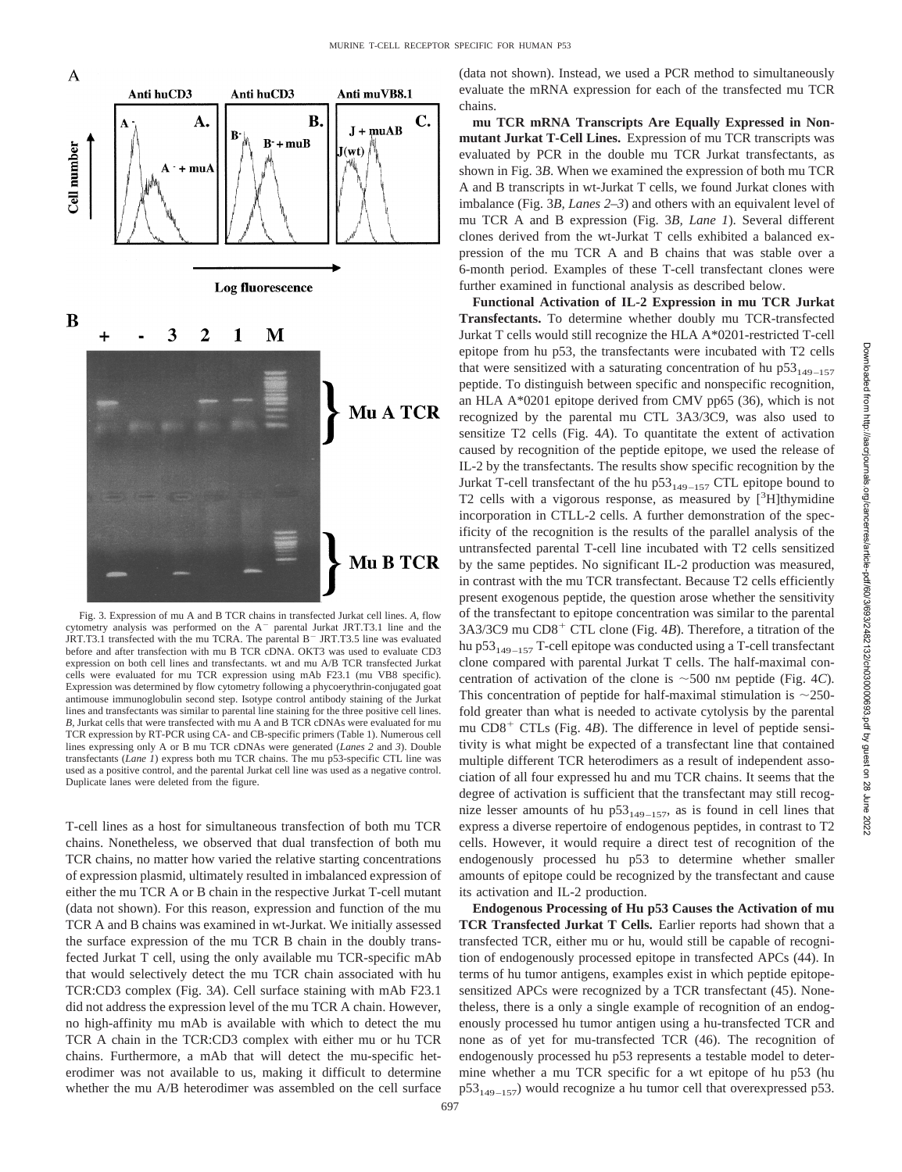

Fig. 3. Expression of mu A and B TCR chains in transfected Jurkat cell lines. *A,* flow cytometry analysis was performed on the  $A^-$  parental Jurkat JRT.T3.1 line and the JRT.T3.1 transfected with the mu TCRA. The parental  $B^-$  JRT.T3.5 line was evaluated before and after transfection with mu B TCR cDNA. OKT3 was used to evaluate CD3 expression on both cell lines and transfectants. wt and mu A/B TCR transfected Jurkat cells were evaluated for mu TCR expression using mAb F23.1 (mu VB8 specific). Expression was determined by flow cytometry following a phycoerythrin-conjugated goat antimouse immunoglobulin second step. Isotype control antibody staining of the Jurkat lines and transfectants was similar to parental line staining for the three positive cell lines. *B,* Jurkat cells that were transfected with mu A and B TCR cDNAs were evaluated for mu TCR expression by RT-PCR using CA- and CB-specific primers (Table 1). Numerous cell lines expressing only A or B mu TCR cDNAs were generated (*Lanes 2* and *3*). Double transfectants (*Lane 1*) express both mu TCR chains. The mu p53-specific CTL line was used as a positive control, and the parental Jurkat cell line was used as a negative control. Duplicate lanes were deleted from the figure.

T-cell lines as a host for simultaneous transfection of both mu TCR chains. Nonetheless, we observed that dual transfection of both mu TCR chains, no matter how varied the relative starting concentrations of expression plasmid, ultimately resulted in imbalanced expression of either the mu TCR A or B chain in the respective Jurkat T-cell mutant (data not shown). For this reason, expression and function of the mu TCR A and B chains was examined in wt-Jurkat. We initially assessed the surface expression of the mu TCR B chain in the doubly transfected Jurkat T cell, using the only available mu TCR-specific mAb that would selectively detect the mu TCR chain associated with hu TCR:CD3 complex (Fig. 3*A*). Cell surface staining with mAb F23.1 did not address the expression level of the mu TCR A chain. However, no high-affinity mu mAb is available with which to detect the mu TCR A chain in the TCR:CD3 complex with either mu or hu TCR chains. Furthermore, a mAb that will detect the mu-specific heterodimer was not available to us, making it difficult to determine whether the mu A/B heterodimer was assembled on the cell surface

(data not shown). Instead, we used a PCR method to simultaneously evaluate the mRNA expression for each of the transfected mu TCR chains.

**mu TCR mRNA Transcripts Are Equally Expressed in Nonmutant Jurkat T-Cell Lines.** Expression of mu TCR transcripts was evaluated by PCR in the double mu TCR Jurkat transfectants, as shown in Fig. 3*B*. When we examined the expression of both mu TCR A and B transcripts in wt-Jurkat T cells, we found Jurkat clones with imbalance (Fig. 3*B, Lanes 2–3*) and others with an equivalent level of mu TCR A and B expression (Fig. 3*B, Lane 1*). Several different clones derived from the wt-Jurkat T cells exhibited a balanced expression of the mu TCR A and B chains that was stable over a 6-month period. Examples of these T-cell transfectant clones were further examined in functional analysis as described below.

**Functional Activation of IL-2 Expression in mu TCR Jurkat Transfectants.** To determine whether doubly mu TCR-transfected Jurkat T cells would still recognize the HLA A\*0201-restricted T-cell epitope from hu p53, the transfectants were incubated with T2 cells that were sensitized with a saturating concentration of hu  $p53_{149-157}$ peptide. To distinguish between specific and nonspecific recognition, an HLA A\*0201 epitope derived from CMV pp65 (36), which is not recognized by the parental mu CTL 3A3/3C9, was also used to sensitize T2 cells (Fig. 4*A*). To quantitate the extent of activation caused by recognition of the peptide epitope, we used the release of IL-2 by the transfectants. The results show specific recognition by the Jurkat T-cell transfectant of the hu  $p53_{149-157}$  CTL epitope bound to T2 cells with a vigorous response, as measured by  $[^{3}H]$ thymidine incorporation in CTLL-2 cells. A further demonstration of the specificity of the recognition is the results of the parallel analysis of the untransfected parental T-cell line incubated with T2 cells sensitized by the same peptides. No significant IL-2 production was measured, in contrast with the mu TCR transfectant. Because T2 cells efficiently present exogenous peptide, the question arose whether the sensitivity of the transfectant to epitope concentration was similar to the parental  $3A3/3C9$  mu  $CD8<sup>+</sup>$  CTL clone (Fig. 4*B*). Therefore, a titration of the hu p $53_{149-157}$  T-cell epitope was conducted using a T-cell transfectant clone compared with parental Jurkat T cells. The half-maximal concentration of activation of the clone is  $\sim$  500 nm peptide (Fig. 4*C*). This concentration of peptide for half-maximal stimulation is  $\sim$ 250fold greater than what is needed to activate cytolysis by the parental mu  $CD8<sup>+</sup> CTLs$  (Fig. 4*B*). The difference in level of peptide sensitivity is what might be expected of a transfectant line that contained multiple different TCR heterodimers as a result of independent association of all four expressed hu and mu TCR chains. It seems that the degree of activation is sufficient that the transfectant may still recognize lesser amounts of hu  $p53_{149-157}$ , as is found in cell lines that express a diverse repertoire of endogenous peptides, in contrast to T2 cells. However, it would require a direct test of recognition of the endogenously processed hu p53 to determine whether smaller amounts of epitope could be recognized by the transfectant and cause its activation and IL-2 production.

**Endogenous Processing of Hu p53 Causes the Activation of mu TCR Transfected Jurkat T Cells.** Earlier reports had shown that a transfected TCR, either mu or hu, would still be capable of recognition of endogenously processed epitope in transfected APCs (44). In terms of hu tumor antigens, examples exist in which peptide epitopesensitized APCs were recognized by a TCR transfectant (45). Nonetheless, there is a only a single example of recognition of an endogenously processed hu tumor antigen using a hu-transfected TCR and none as of yet for mu-transfected TCR (46). The recognition of endogenously processed hu p53 represents a testable model to determine whether a mu TCR specific for a wt epitope of hu p53 (hu  $p53_{149-157}$ ) would recognize a hu tumor cell that overexpressed p53.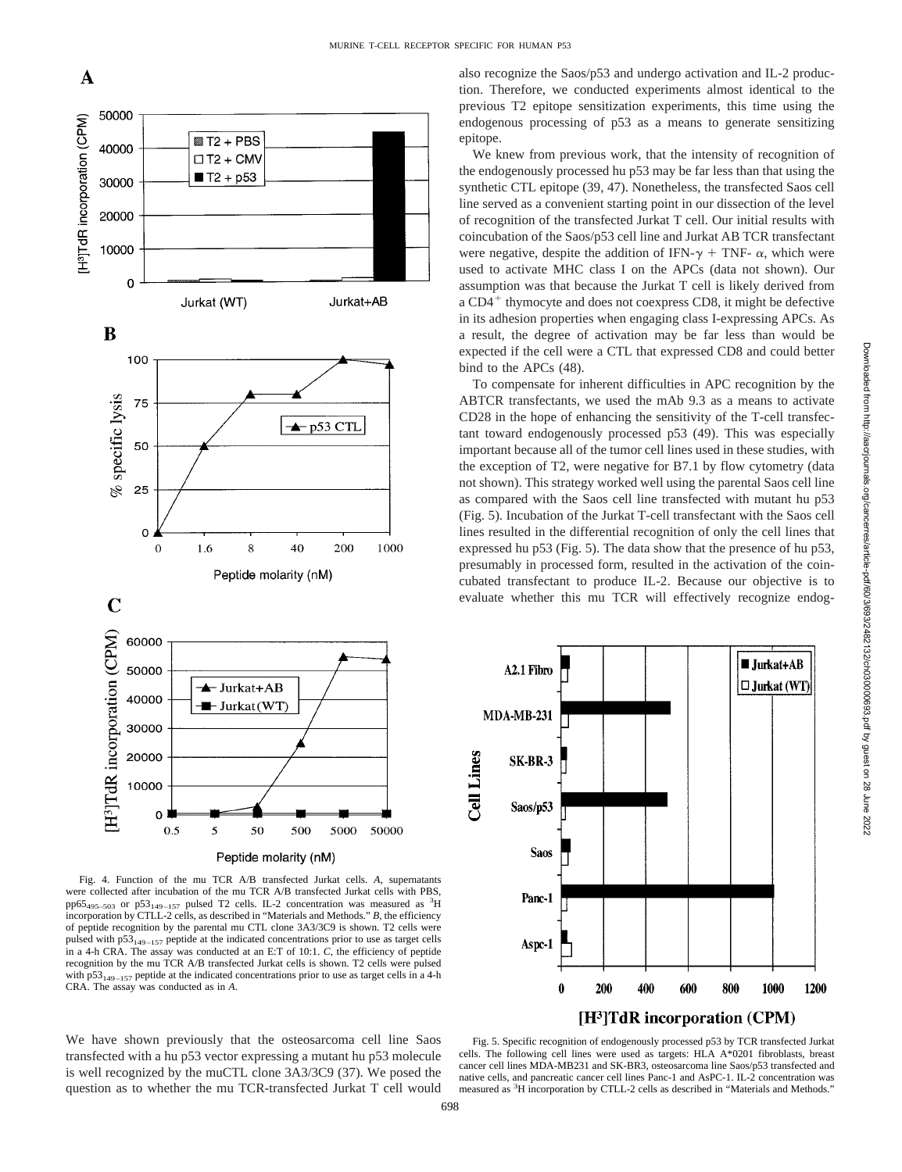

also recognize the Saos/p53 and undergo activation and IL-2 production. Therefore, we conducted experiments almost identical to the previous T2 epitope sensitization experiments, this time using the endogenous processing of p53 as a means to generate sensitizing epitope.

We knew from previous work, that the intensity of recognition of the endogenously processed hu p53 may be far less than that using the synthetic CTL epitope (39, 47). Nonetheless, the transfected Saos cell line served as a convenient starting point in our dissection of the level of recognition of the transfected Jurkat T cell. Our initial results with coincubation of the Saos/p53 cell line and Jurkat AB TCR transfectant were negative, despite the addition of IFN- $\gamma$  + TNF-  $\alpha$ , which were used to activate MHC class I on the APCs (data not shown). Our assumption was that because the Jurkat T cell is likely derived from a  $CD4^+$  thymocyte and does not coexpress CD8, it might be defective in its adhesion properties when engaging class I-expressing APCs. As a result, the degree of activation may be far less than would be expected if the cell were a CTL that expressed CD8 and could better bind to the APCs (48).

To compensate for inherent difficulties in APC recognition by the ABTCR transfectants, we used the mAb 9.3 as a means to activate CD28 in the hope of enhancing the sensitivity of the T-cell transfectant toward endogenously processed p53 (49). This was especially important because all of the tumor cell lines used in these studies, with the exception of T2, were negative for B7.1 by flow cytometry (data not shown). This strategy worked well using the parental Saos cell line as compared with the Saos cell line transfected with mutant hu p53 (Fig. 5). Incubation of the Jurkat T-cell transfectant with the Saos cell lines resulted in the differential recognition of only the cell lines that expressed hu p53 (Fig. 5). The data show that the presence of hu p53, presumably in processed form, resulted in the activation of the coincubated transfectant to produce IL-2. Because our objective is to evaluate whether this mu TCR will effectively recognize endog-



Fig. 4. Function of the mu TCR A/B transfected Jurkat cells. *A,* supernatants were collected after incubation of the mu TCR A/B transfected Jurkat cells with PBS, pp65<sub>495–503</sub> or p53<sub>149–157</sub> pulsed T2 cells. IL-2 concentration was measured as <sup>3</sup>H incorporation by CTLL-2 cells, as described in "Materials and Methods." *B,* the efficiency of peptide recognition by the parental mu CTL clone 3A3/3C9 is shown. T2 cells were pulsed with  $p53_{149-157}$  peptide at the indicated concentrations prior to use as target cells in a 4-h CRA. The assay was conducted at an E:T of 10:1. *C,* the efficiency of peptide recognition by the mu TCR A/B transfected Jurkat cells is shown. T2 cells were pulsed with  $p53_{149-157}$  peptide at the indicated concentrations prior to use as target cells in a 4-h CRA. The assay was conducted as in *A*.

We have shown previously that the osteosarcoma cell line Saos transfected with a hu p53 vector expressing a mutant hu p53 molecule is well recognized by the muCTL clone 3A3/3C9 (37). We posed the question as to whether the mu TCR-transfected Jurkat T cell would



Fig. 5. Specific recognition of endogenously processed p53 by TCR transfected Jurkat cells. The following cell lines were used as targets: HLA A\*0201 fibroblasts, breast cancer cell lines MDA-MB231 and SK-BR3, osteosarcoma line Saos/p53 transfected and native cells, and pancreatic cancer cell lines Panc-1 and AsPC-1. IL-2 concentration was measured as <sup>3</sup>H incorporation by CTLL-2 cells as described in "Materials and Methods."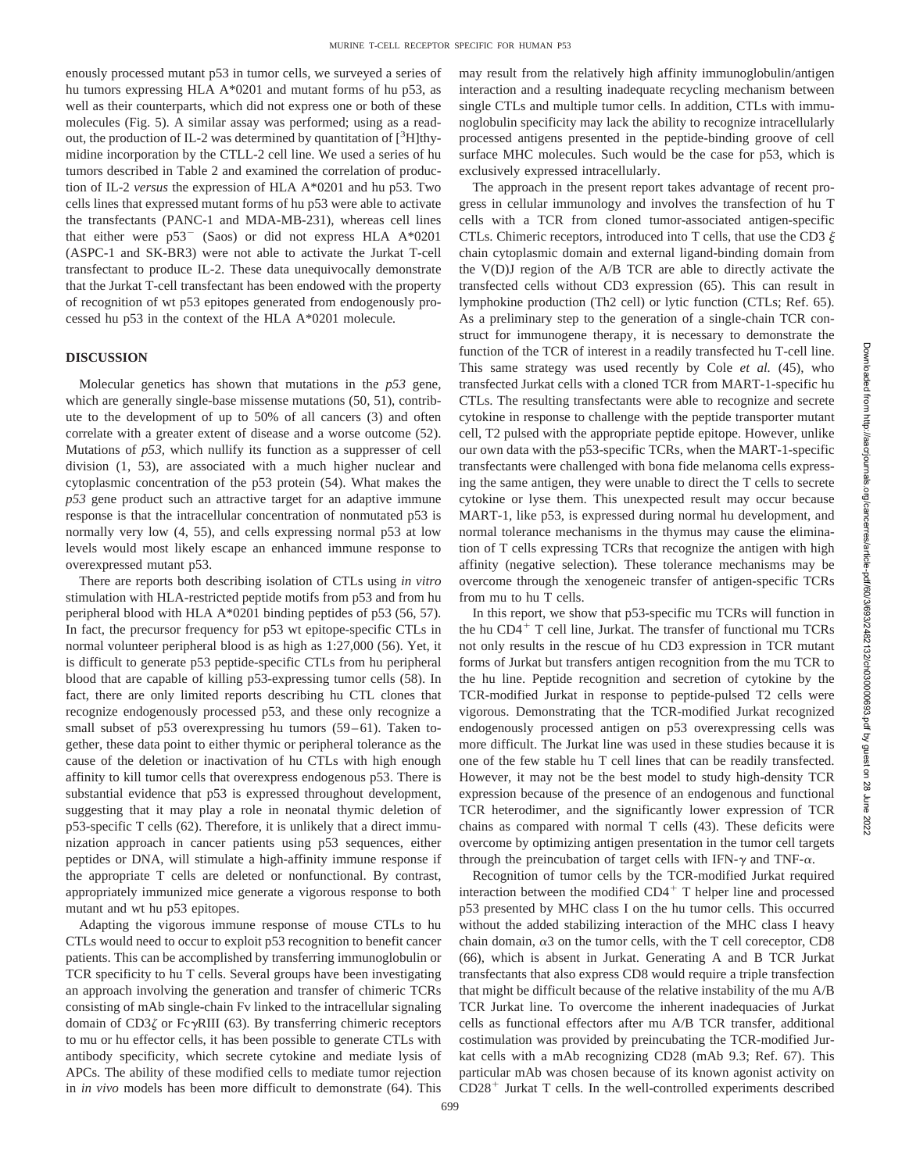enously processed mutant p53 in tumor cells, we surveyed a series of hu tumors expressing HLA A\*0201 and mutant forms of hu p53, as well as their counterparts, which did not express one or both of these molecules (Fig. 5). A similar assay was performed; using as a readout, the production of IL-2 was determined by quantitation of [<sup>3</sup>H]thymidine incorporation by the CTLL-2 cell line. We used a series of hu tumors described in Table 2 and examined the correlation of production of IL-2 *versus* the expression of HLA A\*0201 and hu p53. Two cells lines that expressed mutant forms of hu p53 were able to activate the transfectants (PANC-1 and MDA-MB-231), whereas cell lines that either were  $p53^-$  (Saos) or did not express HLA A\*0201 (ASPC-1 and SK-BR3) were not able to activate the Jurkat T-cell transfectant to produce IL-2. These data unequivocally demonstrate that the Jurkat T-cell transfectant has been endowed with the property of recognition of wt p53 epitopes generated from endogenously processed hu p53 in the context of the HLA A\*0201 molecule*.*

# **DISCUSSION**

Molecular genetics has shown that mutations in the *p53* gene, which are generally single-base missense mutations (50, 51), contribute to the development of up to 50% of all cancers (3) and often correlate with a greater extent of disease and a worse outcome (52). Mutations of *p53,* which nullify its function as a suppresser of cell division (1, 53), are associated with a much higher nuclear and cytoplasmic concentration of the p53 protein (54). What makes the *p53* gene product such an attractive target for an adaptive immune response is that the intracellular concentration of nonmutated p53 is normally very low (4, 55), and cells expressing normal p53 at low levels would most likely escape an enhanced immune response to overexpressed mutant p53.

There are reports both describing isolation of CTLs using *in vitro* stimulation with HLA-restricted peptide motifs from p53 and from hu peripheral blood with HLA A\*0201 binding peptides of p53 (56, 57). In fact, the precursor frequency for p53 wt epitope-specific CTLs in normal volunteer peripheral blood is as high as 1:27,000 (56). Yet, it is difficult to generate p53 peptide-specific CTLs from hu peripheral blood that are capable of killing p53-expressing tumor cells (58). In fact, there are only limited reports describing hu CTL clones that recognize endogenously processed p53, and these only recognize a small subset of p53 overexpressing hu tumors (59–61). Taken together, these data point to either thymic or peripheral tolerance as the cause of the deletion or inactivation of hu CTLs with high enough affinity to kill tumor cells that overexpress endogenous p53. There is substantial evidence that p53 is expressed throughout development, suggesting that it may play a role in neonatal thymic deletion of p53-specific T cells (62). Therefore, it is unlikely that a direct immunization approach in cancer patients using p53 sequences, either peptides or DNA, will stimulate a high-affinity immune response if the appropriate T cells are deleted or nonfunctional. By contrast, appropriately immunized mice generate a vigorous response to both mutant and wt hu p53 epitopes.

Adapting the vigorous immune response of mouse CTLs to hu CTLs would need to occur to exploit p53 recognition to benefit cancer patients. This can be accomplished by transferring immunoglobulin or TCR specificity to hu T cells. Several groups have been investigating an approach involving the generation and transfer of chimeric TCRs consisting of mAb single-chain Fv linked to the intracellular signaling domain of  $CD3\zeta$  or Fc $\gamma$ RIII (63). By transferring chimeric receptors to mu or hu effector cells, it has been possible to generate CTLs with antibody specificity, which secrete cytokine and mediate lysis of APCs. The ability of these modified cells to mediate tumor rejection in *in vivo* models has been more difficult to demonstrate (64). This may result from the relatively high affinity immunoglobulin/antigen interaction and a resulting inadequate recycling mechanism between single CTLs and multiple tumor cells. In addition, CTLs with immunoglobulin specificity may lack the ability to recognize intracellularly processed antigens presented in the peptide-binding groove of cell surface MHC molecules. Such would be the case for p53, which is exclusively expressed intracellularly.

The approach in the present report takes advantage of recent progress in cellular immunology and involves the transfection of hu T cells with a TCR from cloned tumor-associated antigen-specific CTLs. Chimeric receptors, introduced into T cells, that use the CD3  $\xi$ chain cytoplasmic domain and external ligand-binding domain from the V(D)J region of the A/B TCR are able to directly activate the transfected cells without CD3 expression (65). This can result in lymphokine production (Th2 cell) or lytic function (CTLs; Ref. 65). As a preliminary step to the generation of a single-chain TCR construct for immunogene therapy, it is necessary to demonstrate the function of the TCR of interest in a readily transfected hu T-cell line. This same strategy was used recently by Cole *et al.* (45), who transfected Jurkat cells with a cloned TCR from MART-1-specific hu CTLs. The resulting transfectants were able to recognize and secrete cytokine in response to challenge with the peptide transporter mutant cell, T2 pulsed with the appropriate peptide epitope. However, unlike our own data with the p53-specific TCRs, when the MART-1-specific transfectants were challenged with bona fide melanoma cells expressing the same antigen, they were unable to direct the T cells to secrete cytokine or lyse them. This unexpected result may occur because MART-1, like p53, is expressed during normal hu development, and normal tolerance mechanisms in the thymus may cause the elimination of T cells expressing TCRs that recognize the antigen with high affinity (negative selection). These tolerance mechanisms may be overcome through the xenogeneic transfer of antigen-specific TCRs from mu to hu T cells.

In this report, we show that p53-specific mu TCRs will function in the hu  $CD4^+$  T cell line, Jurkat. The transfer of functional mu TCRs not only results in the rescue of hu CD3 expression in TCR mutant forms of Jurkat but transfers antigen recognition from the mu TCR to the hu line. Peptide recognition and secretion of cytokine by the TCR-modified Jurkat in response to peptide-pulsed T2 cells were vigorous. Demonstrating that the TCR-modified Jurkat recognized endogenously processed antigen on p53 overexpressing cells was more difficult. The Jurkat line was used in these studies because it is one of the few stable hu T cell lines that can be readily transfected. However, it may not be the best model to study high-density TCR expression because of the presence of an endogenous and functional TCR heterodimer, and the significantly lower expression of TCR chains as compared with normal T cells (43). These deficits were overcome by optimizing antigen presentation in the tumor cell targets through the preincubation of target cells with IFN- $\gamma$  and TNF- $\alpha$ .

Recognition of tumor cells by the TCR-modified Jurkat required interaction between the modified  $CD4^+$  T helper line and processed p53 presented by MHC class I on the hu tumor cells. This occurred without the added stabilizing interaction of the MHC class I heavy chain domain,  $\alpha$ 3 on the tumor cells, with the T cell coreceptor, CD8 (66), which is absent in Jurkat. Generating A and B TCR Jurkat transfectants that also express CD8 would require a triple transfection that might be difficult because of the relative instability of the mu A/B TCR Jurkat line. To overcome the inherent inadequacies of Jurkat cells as functional effectors after mu A/B TCR transfer, additional costimulation was provided by preincubating the TCR-modified Jurkat cells with a mAb recognizing CD28 (mAb 9.3; Ref. 67). This particular mAb was chosen because of its known agonist activity on  $CD28<sup>+</sup>$  Jurkat T cells. In the well-controlled experiments described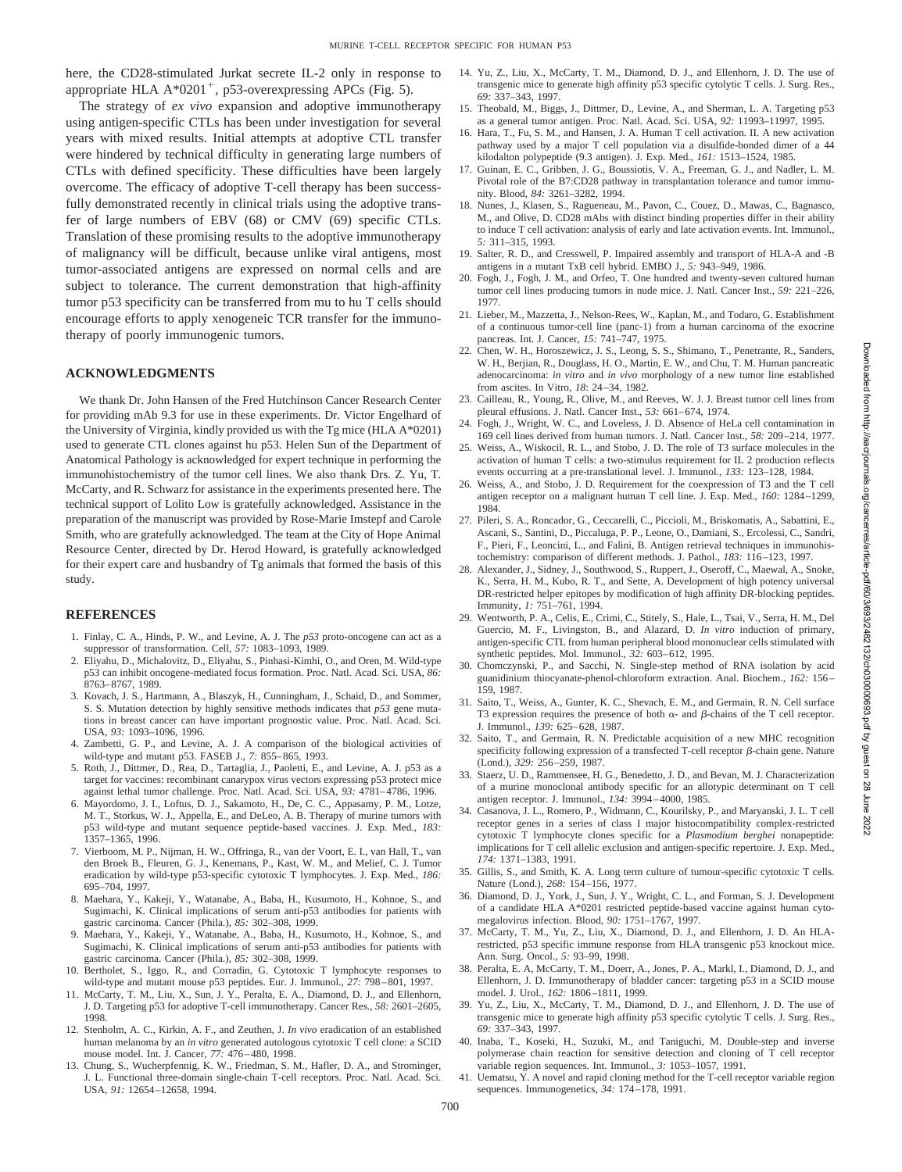here, the CD28-stimulated Jurkat secrete IL-2 only in response to appropriate HLA  $A*0201^+$ , p53-overexpressing APCs (Fig. 5).

The strategy of *ex vivo* expansion and adoptive immunotherapy using antigen-specific CTLs has been under investigation for several years with mixed results. Initial attempts at adoptive CTL transfer were hindered by technical difficulty in generating large numbers of CTLs with defined specificity. These difficulties have been largely overcome. The efficacy of adoptive T-cell therapy has been successfully demonstrated recently in clinical trials using the adoptive transfer of large numbers of EBV (68) or CMV (69) specific CTLs. Translation of these promising results to the adoptive immunotherapy of malignancy will be difficult, because unlike viral antigens, most tumor-associated antigens are expressed on normal cells and are subject to tolerance. The current demonstration that high-affinity tumor p53 specificity can be transferred from mu to hu T cells should encourage efforts to apply xenogeneic TCR transfer for the immunotherapy of poorly immunogenic tumors.

# **ACKNOWLEDGMENTS**

We thank Dr. John Hansen of the Fred Hutchinson Cancer Research Center for providing mAb 9.3 for use in these experiments. Dr. Victor Engelhard of the University of Virginia, kindly provided us with the Tg mice (HLA A\*0201) used to generate CTL clones against hu p53. Helen Sun of the Department of Anatomical Pathology is acknowledged for expert technique in performing the immunohistochemistry of the tumor cell lines. We also thank Drs. Z. Yu, T. McCarty, and R. Schwarz for assistance in the experiments presented here. The technical support of Lolito Low is gratefully acknowledged. Assistance in the preparation of the manuscript was provided by Rose-Marie Imstepf and Carole Smith, who are gratefully acknowledged. The team at the City of Hope Animal Resource Center, directed by Dr. Herod Howard, is gratefully acknowledged for their expert care and husbandry of Tg animals that formed the basis of this study.

#### **REFERENCES**

- 1. Finlay, C. A., Hinds, P. W., and Levine, A. J. The *p53* proto-oncogene can act as a suppressor of transformation. Cell, *57:* 1083–1093, 1989.
- 2. Eliyahu, D., Michalovitz, D., Eliyahu, S., Pinhasi-Kimhi, O., and Oren, M. Wild-type p53 can inhibit oncogene-mediated focus formation. Proc. Natl. Acad. Sci. USA, *86:* 8763–8767, 1989.
- 3. Kovach, J. S., Hartmann, A., Blaszyk, H., Cunningham, J., Schaid, D., and Sommer, S. S. Mutation detection by highly sensitive methods indicates that *p53* gene mutations in breast cancer can have important prognostic value. Proc. Natl. Acad. Sci. USA, *93:* 1093–1096, 1996.
- 4. Zambetti, G. P., and Levine, A. J. A comparison of the biological activities of wild-type and mutant p53. FASEB J., *7:* 855–865, 1993.
- 5. Roth, J., Dittmer, D., Rea, D., Tartaglia, J., Paoletti, E., and Levine, A. J. p53 as a target for vaccines: recombinant canarypox virus vectors expressing p53 protect mice against lethal tumor challenge. Proc. Natl. Acad. Sci. USA, *93:* 4781–4786, 1996.
- 6. Mayordomo, J. I., Loftus, D. J., Sakamoto, H., De, C. C., Appasamy, P. M., Lotze, M. T., Storkus, W. J., Appella, E., and DeLeo, A. B. Therapy of murine tumors with p53 wild-type and mutant sequence peptide-based vaccines. J. Exp. Med., *183:* 1357–1365, 1996.
- 7. Vierboom, M. P., Nijman, H. W., Offringa, R., van der Voort, E. I., van Hall, T., van den Broek B., Fleuren, G. J., Kenemans, P., Kast, W. M., and Melief, C. J. Tumor eradication by wild-type p53-specific cytotoxic T lymphocytes. J. Exp. Med., *186:* 695–704, 1997.
- 8. Maehara, Y., Kakeji, Y., Watanabe, A., Baba, H., Kusumoto, H., Kohnoe, S., and Sugimachi, K. Clinical implications of serum anti-p53 antibodies for patients with gastric carcinoma. Cancer (Phila.), *85:* 302–308, 1999.
- 9. Maehara, Y., Kakeji, Y., Watanabe, A., Baba, H., Kusumoto, H., Kohnoe, S., and Sugimachi, K. Clinical implications of serum anti-p53 antibodies for patients with gastric carcinoma. Cancer (Phila.), *85:* 302–308, 1999.
- 10. Bertholet, S., Iggo, R., and Corradin, G. Cytotoxic T lymphocyte responses to wild-type and mutant mouse p53 peptides. Eur. J. Immunol., *27:* 798–801, 1997.
- 11. McCarty, T. M., Liu, X., Sun, J. Y., Peralta, E. A., Diamond, D. J., and Ellenhorn, J. D. Targeting p53 for adoptive T-cell immunotherapy. Cancer Res., *58:* 2601–2605, 1998.
- 12. Stenholm, A. C., Kirkin, A. F., and Zeuthen, J. *In vivo* eradication of an established human melanoma by an *in vitro* generated autologous cytotoxic T cell clone: a SCID mouse model. Int. J. Cancer, *77:* 476–480, 1998.
- 13. Chung, S., Wucherpfennig, K. W., Friedman, S. M., Hafler, D. A., and Strominger, J. L. Functional three-domain single-chain T-cell receptors. Proc. Natl. Acad. Sci. USA, *91:* 12654–12658, 1994.
- 14. Yu, Z., Liu, X., McCarty, T. M., Diamond, D. J., and Ellenhorn, J. D. The use of transgenic mice to generate high affinity p53 specific cytolytic T cells. J. Surg. Res., *69:* 337–343, 1997.
- 15. Theobald, M., Biggs, J., Dittmer, D., Levine, A., and Sherman, L. A. Targeting p53 as a general tumor antigen. Proc. Natl. Acad. Sci. USA, *92:* 11993–11997, 1995.
- 16. Hara, T., Fu, S. M., and Hansen, J. A. Human T cell activation. II. A new activation pathway used by a major T cell population via a disulfide-bonded dimer of a 44 kilodalton polypeptide (9.3 antigen). J. Exp. Med., *161:* 1513–1524, 1985.
- 17. Guinan, E. C., Gribben, J. G., Boussiotis, V. A., Freeman, G. J., and Nadler, L. M. Pivotal role of the B7:CD28 pathway in transplantation tolerance and tumor immunity. Blood, *84:* 3261–3282, 1994.
- 18. Nunes, J., Klasen, S., Ragueneau, M., Pavon, C., Couez, D., Mawas, C., Bagnasco, M., and Olive, D. CD28 mAbs with distinct binding properties differ in their ability to induce T cell activation: analysis of early and late activation events. Int. Immunol., *5:* 311–315, 1993.
- 19. Salter, R. D., and Cresswell, P. Impaired assembly and transport of HLA-A and -B antigens in a mutant TxB cell hybrid. EMBO J., *5:* 943–949, 1986.
- 20. Fogh, J., Fogh, J. M., and Orfeo, T. One hundred and twenty-seven cultured human tumor cell lines producing tumors in nude mice. J. Natl. Cancer Inst., *59:* 221–226, 1977.
- 21. Lieber, M., Mazzetta, J., Nelson-Rees, W., Kaplan, M., and Todaro, G. Establishment of a continuous tumor-cell line (panc-1) from a human carcinoma of the exocrine pancreas. Int. J. Cancer, *15:* 741–747, 1975.
- 22. Chen, W. H., Horoszewicz, J. S., Leong, S. S., Shimano, T., Penetrante, R., Sanders, W. H., Berjian, R., Douglass, H. O., Martin, E. W., and Chu, T. M. Human pancreatic adenocarcinoma: *in vitro* and *in vivo* morphology of a new tumor line established from ascites. In Vitro, *18*: 24–34, 1982.
- 23. Cailleau, R., Young, R., Olive, M., and Reeves, W. J. J. Breast tumor cell lines from pleural effusions. J. Natl. Cancer Inst., *53:* 661–674, 1974.
- 24. Fogh, J., Wright, W. C., and Loveless, J. D. Absence of HeLa cell contamination in 169 cell lines derived from human tumors. J. Natl. Cancer Inst., *58:* 209–214, 1977.
- 25. Weiss, A., Wiskocil, R. L., and Stobo, J. D. The role of T3 surface molecules in the activation of human T cells: a two-stimulus requirement for IL 2 production reflects events occurring at a pre-translational level. J. Immunol., *133:* 123–128, 1984.
- 26. Weiss, A., and Stobo, J. D. Requirement for the coexpression of T3 and the T cell antigen receptor on a malignant human T cell line. J. Exp. Med., *160:* 1284–1299, 1984.
- 27. Pileri, S. A., Roncador, G., Ceccarelli, C., Piccioli, M., Briskomatis, A., Sabattini, E., Ascani, S., Santini, D., Piccaluga, P. P., Leone, O., Damiani, S., Ercolessi, C., Sandri, F., Pieri, F., Leoncini, L., and Falini, B. Antigen retrieval techniques in immunohistochemistry: comparison of different methods. J. Pathol., *183:* 116–123, 1997.
- 28. Alexander, J., Sidney, J., Southwood, S., Ruppert, J., Oseroff, C., Maewal, A., Snoke, K., Serra, H. M., Kubo, R. T., and Sette, A. Development of high potency universal DR-restricted helper epitopes by modification of high affinity DR-blocking peptides. Immunity, *1:* 751–761, 1994.
- 29. Wentworth, P. A., Celis, E., Crimi, C., Stitely, S., Hale, L., Tsai, V., Serra, H. M., Del Guercio, M. F., Livingston, B., and Alazard, D. *In vitro* induction of primary, antigen-specific CTL from human peripheral blood mononuclear cells stimulated with synthetic peptides. Mol. Immunol., *32:* 603–612, 1995.
- 30. Chomczynski, P., and Sacchi, N. Single-step method of RNA isolation by acid guanidinium thiocyanate-phenol-chloroform extraction. Anal. Biochem., *162:* 156– 159, 1987.
- 31. Saito, T., Weiss, A., Gunter, K. C., Shevach, E. M., and Germain, R. N. Cell surface T3 expression requires the presence of both  $\alpha$ - and  $\beta$ -chains of the T cell receptor. J. Immunol., *139:* 625–628, 1987.
- 32. Saito, T., and Germain, R. N. Predictable acquisition of a new MHC recognition specificity following expression of a transfected T-cell receptor  $\beta$ -chain gene. Nature (Lond.), *329:* 256–259, 1987.
- 33. Staerz, U. D., Rammensee, H. G., Benedetto, J. D., and Bevan, M. J. Characterization of a murine monoclonal antibody specific for an allotypic determinant on T cell antigen receptor. J. Immunol., *134:* 3994–4000, 1985.
- 34. Casanova, J. L., Romero, P., Widmann, C., Kourilsky, P., and Maryanski, J. L. T cell receptor genes in a series of class I major histocompatibility complex-restricted cytotoxic T lymphocyte clones specific for a *Plasmodium berghei* nonapeptide: implications for T cell allelic exclusion and antigen-specific repertoire. J. Exp. Med., *174:* 1371–1383, 1991.
- 35. Gillis, S., and Smith, K. A. Long term culture of tumour-specific cytotoxic T cells. Nature (Lond.), *268:* 154–156, 1977.
- 36. Diamond, D. J., York, J., Sun, J. Y., Wright, C. L., and Forman, S. J. Development of a candidate HLA A\*0201 restricted peptide-based vaccine against human cytomegalovirus infection. Blood, *90:* 1751–1767, 1997.
- 37. McCarty, T. M., Yu, Z., Liu, X., Diamond, D. J., and Ellenhorn, J. D. An HLArestricted, p53 specific immune response from HLA transgenic p53 knockout mice. Ann. Surg. Oncol., *5:* 93–99, 1998.
- 38. Peralta, E. A, McCarty, T. M., Doerr, A., Jones, P. A., Markl, I., Diamond, D. J., and Ellenhorn, J. D. Immunotherapy of bladder cancer: targeting p53 in a SCID mouse model. J. Urol., *162:* 1806–1811, 1999.
- 39. Yu, Z., Liu, X., McCarty, T. M., Diamond, D. J., and Ellenhorn, J. D. The use of transgenic mice to generate high affinity p53 specific cytolytic T cells. J. Surg. Res., *69:* 337–343, 1997.
- 40. Inaba, T., Koseki, H., Suzuki, M., and Taniguchi, M. Double-step and inverse polymerase chain reaction for sensitive detection and cloning of T cell receptor variable region sequences. Int. Immunol., *3:* 1053–1057, 1991.
- 41. Uematsu, Y. A novel and rapid cloning method for the T-cell receptor variable region sequences. Immunogenetics, *34:* 174–178, 1991.